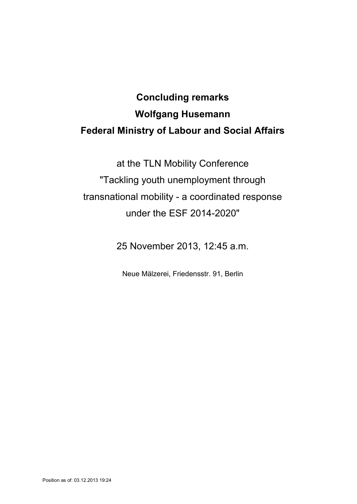## **Concluding remarks Wolfgang Husemann Federal Ministry of Labour and Social Affairs**

at the TLN Mobility Conference "Tackling youth unemployment through transnational mobility - a coordinated response under the ESF 2014-2020"

25 November 2013, 12:45 a.m.

Neue Mälzerei, Friedensstr. 91, Berlin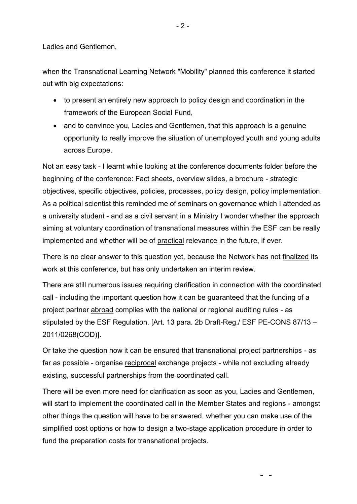Ladies and Gentlemen,

when the Transnational Learning Network "Mobility" planned this conference it started out with big expectations:

- to present an entirely new approach to policy design and coordination in the framework of the European Social Fund,
- and to convince you, Ladies and Gentlemen, that this approach is a genuine opportunity to really improve the situation of unemployed youth and young adults across Europe.

Not an easy task - I learnt while looking at the conference documents folder before the beginning of the conference: Fact sheets, overview slides, a brochure - strategic objectives, specific objectives, policies, processes, policy design, policy implementation. As a political scientist this reminded me of seminars on governance which I attended as a university student - and as a civil servant in a Ministry I wonder whether the approach aiming at voluntary coordination of transnational measures within the ESF can be really implemented and whether will be of practical relevance in the future, if ever.

There is no clear answer to this question yet, because the Network has not finalized its work at this conference, but has only undertaken an interim review.

There are still numerous issues requiring clarification in connection with the coordinated call - including the important question how it can be guaranteed that the funding of a project partner abroad complies with the national or regional auditing rules - as stipulated by the ESF Regulation. [Art. 13 para. 2b Draft-Reg./ ESF PE-CONS 87/13 – 2011/0268(COD)].

Or take the question how it can be ensured that transnational project partnerships - as far as possible - organise reciprocal exchange projects - while not excluding already existing, successful partnerships from the coordinated call.

There will be even more need for clarification as soon as you, Ladies and Gentlemen, will start to implement the coordinated call in the Member States and regions - amongst other things the question will have to be answered, whether you can make use of the simplified cost options or how to design a two-stage application procedure in order to fund the preparation costs for transnational projects.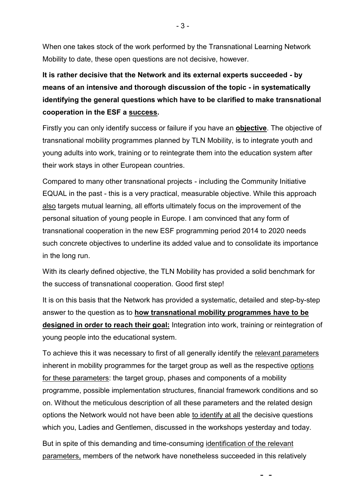When one takes stock of the work performed by the Transnational Learning Network Mobility to date, these open questions are not decisive, however.

**It is rather decisive that the Network and its external experts succeeded - by means of an intensive and thorough discussion of the topic - in systematically identifying the general questions which have to be clarified to make transnational cooperation in the ESF a success.** 

Firstly you can only identify success or failure if you have an **objective**. The objective of transnational mobility programmes planned by TLN Mobility, is to integrate youth and young adults into work, training or to reintegrate them into the education system after their work stays in other European countries.

Compared to many other transnational projects - including the Community Initiative EQUAL in the past - this is a very practical, measurable objective. While this approach also targets mutual learning, all efforts ultimately focus on the improvement of the personal situation of young people in Europe. I am convinced that any form of transnational cooperation in the new ESF programming period 2014 to 2020 needs such concrete objectives to underline its added value and to consolidate its importance in the long run.

With its clearly defined objective, the TLN Mobility has provided a solid benchmark for the success of transnational cooperation. Good first step!

It is on this basis that the Network has provided a systematic, detailed and step-by-step answer to the question as to **how transnational mobility programmes have to be designed in order to reach their goal:** Integration into work, training or reintegration of young people into the educational system.

To achieve this it was necessary to first of all generally identify the relevant parameters inherent in mobility programmes for the target group as well as the respective options for these parameters: the target group, phases and components of a mobility programme, possible implementation structures, financial framework conditions and so on. Without the meticulous description of all these parameters and the related design options the Network would not have been able to identify at all the decisive questions which you, Ladies and Gentlemen, discussed in the workshops yesterday and today.

But in spite of this demanding and time-consuming identification of the relevant parameters, members of the network have nonetheless succeeded in this relatively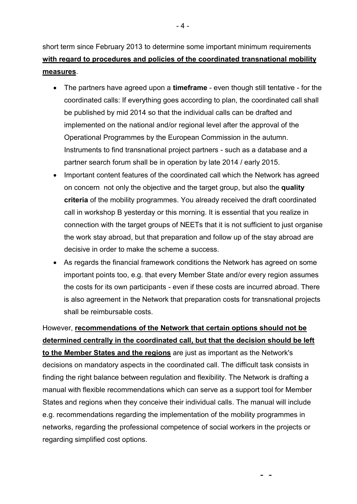short term since February 2013 to determine some important minimum requirements **with regard to procedures and policies of the coordinated transnational mobility measures**.

- The partners have agreed upon a **timeframe** even though still tentative for the coordinated calls: If everything goes according to plan, the coordinated call shall be published by mid 2014 so that the individual calls can be drafted and implemented on the national and/or regional level after the approval of the Operational Programmes by the European Commission in the autumn. Instruments to find transnational project partners - such as a database and a partner search forum shall be in operation by late 2014 / early 2015.
- Important content features of the coordinated call which the Network has agreed on concern not only the objective and the target group, but also the **quality criteria** of the mobility programmes. You already received the draft coordinated call in workshop B yesterday or this morning. It is essential that you realize in connection with the target groups of NEETs that it is not sufficient to just organise the work stay abroad, but that preparation and follow up of the stay abroad are decisive in order to make the scheme a success.
- As regards the financial framework conditions the Network has agreed on some important points too, e.g. that every Member State and/or every region assumes the costs for its own participants - even if these costs are incurred abroad. There is also agreement in the Network that preparation costs for transnational projects shall be reimbursable costs.

However, **recommendations of the Network that certain options should not be determined centrally in the coordinated call, but that the decision should be left to the Member States and the regions** are just as important as the Network's decisions on mandatory aspects in the coordinated call. The difficult task consists in finding the right balance between regulation and flexibility. The Network is drafting a manual with flexible recommendations which can serve as a support tool for Member States and regions when they conceive their individual calls. The manual will include e.g. recommendations regarding the implementation of the mobility programmes in networks, regarding the professional competence of social workers in the projects or regarding simplified cost options.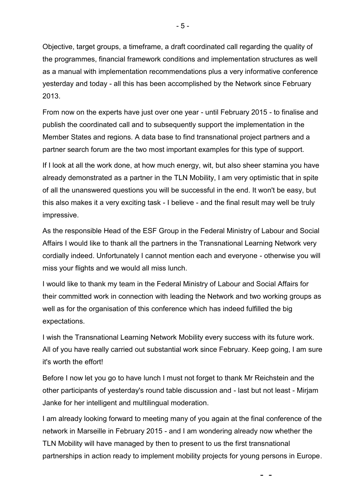Objective, target groups, a timeframe, a draft coordinated call regarding the quality of the programmes, financial framework conditions and implementation structures as well as a manual with implementation recommendations plus a very informative conference yesterday and today - all this has been accomplished by the Network since February 2013.

From now on the experts have just over one year - until February 2015 - to finalise and publish the coordinated call and to subsequently support the implementation in the Member States and regions. A data base to find transnational project partners and a partner search forum are the two most important examples for this type of support.

If I look at all the work done, at how much energy, wit, but also sheer stamina you have already demonstrated as a partner in the TLN Mobility, I am very optimistic that in spite of all the unanswered questions you will be successful in the end. It won't be easy, but this also makes it a very exciting task - I believe - and the final result may well be truly impressive.

As the responsible Head of the ESF Group in the Federal Ministry of Labour and Social Affairs I would like to thank all the partners in the Transnational Learning Network very cordially indeed. Unfortunately I cannot mention each and everyone - otherwise you will miss your flights and we would all miss lunch.

I would like to thank my team in the Federal Ministry of Labour and Social Affairs for their committed work in connection with leading the Network and two working groups as well as for the organisation of this conference which has indeed fulfilled the big expectations.

I wish the Transnational Learning Network Mobility every success with its future work. All of you have really carried out substantial work since February. Keep going, I am sure it's worth the effort!

Before I now let you go to have lunch I must not forget to thank Mr Reichstein and the other participants of yesterday's round table discussion and - last but not least - Mirjam Janke for her intelligent and multilingual moderation.

I am already looking forward to meeting many of you again at the final conference of the network in Marseille in February 2015 - and I am wondering already now whether the TLN Mobility will have managed by then to present to us the first transnational partnerships in action ready to implement mobility projects for young persons in Europe.